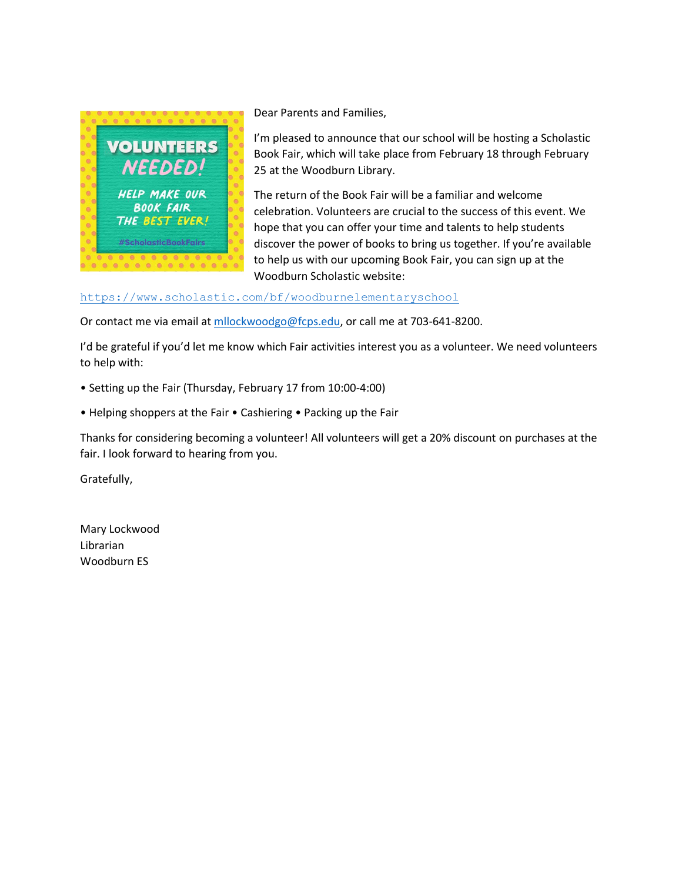

Dear Parents and Families,

I'm pleased to announce that our school will be hosting a Scholastic Book Fair, which will take place from February 18 through February 25 at the Woodburn Library.

The return of the Book Fair will be a familiar and welcome celebration. Volunteers are crucial to the success of this event. We hope that you can offer your time and talents to help students discover the power of books to bring us together. If you're available to help us with our upcoming Book Fair, you can sign up at the Woodburn Scholastic website:

## <https://www.scholastic.com/bf/woodburnelementaryschool>

Or contact me via email at [mllockwoodgo@fcps.edu,](mailto:mllockwoodgo@fcps.edu) or call me at 703-641-8200.

I'd be grateful if you'd let me know which Fair activities interest you as a volunteer. We need volunteers to help with:

- Setting up the Fair (Thursday, February 17 from 10:00-4:00)
- Helping shoppers at the Fair Cashiering Packing up the Fair

Thanks for considering becoming a volunteer! All volunteers will get a 20% discount on purchases at the fair. I look forward to hearing from you.

Gratefully,

Mary Lockwood Librarian Woodburn ES